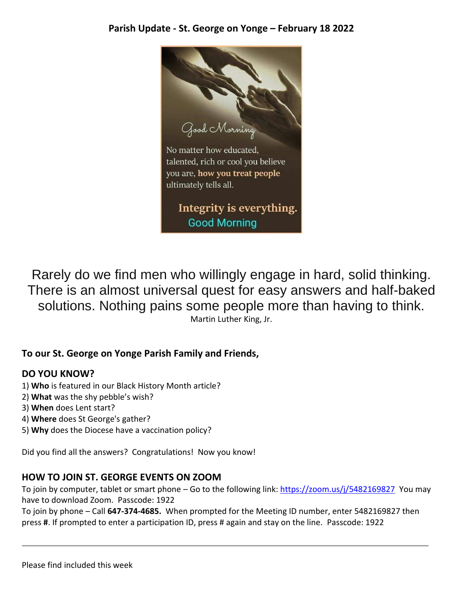

Rarely do we find men who willingly engage in hard, solid thinking. There is an almost universal quest for easy answers and half-baked solutions. Nothing pains some people more than having to think. Martin Luther King, Jr.

### **To our St. George on Yonge Parish Family and Friends,**

### **DO YOU KNOW?**

- 1) **Who** is featured in our Black History Month article?
- 2) **What** was the shy pebble's wish?
- 3) **When** does Lent start?
- 4) **Where** does St George's gather?
- 5) **Why** does the Diocese have a vaccination policy?

Did you find all the answers? Congratulations! Now you know!

### **HOW TO JOIN ST. GEORGE EVENTS ON ZOOM**

To join by computer, tablet or smart phone – Go to the following link: [https://zoom.us/j/5482169827](https://zoom.us/j/5482169827?pwd=VWJyNU9pWnBJbWhuQSthSThHR2dlQT09) You may have to download Zoom. Passcode: 1922

To join by phone – Call **647-374-4685.** When prompted for the Meeting ID number, enter 5482169827 then press **#**. If prompted to enter a participation ID, press # again and stay on the line. Passcode: 1922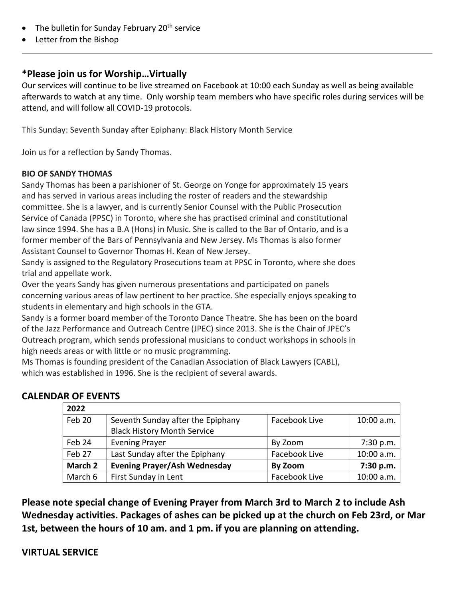- The bulletin for Sunday February  $20<sup>th</sup>$  service
- Letter from the Bishop

#### **\*Please join us for Worship…Virtually**

Our services will continue to be live streamed on Facebook at 10:00 each Sunday as well as being available afterwards to watch at any time. Only worship team members who have specific roles during services will be attend, and will follow all COVID-19 protocols.

This Sunday: Seventh Sunday after Epiphany: Black History Month Service

Join us for a reflection by Sandy Thomas.

#### **BIO OF SANDY THOMAS**

Sandy Thomas has been a parishioner of St. George on Yonge for approximately 15 years and has served in various areas including the roster of readers and the stewardship committee. She is a lawyer, and is currently Senior Counsel with the Public Prosecution Service of Canada (PPSC) in Toronto, where she has practised criminal and constitutional law since 1994. She has a B.A (Hons) in Music. She is called to the Bar of Ontario, and is a former member of the Bars of Pennsylvania and New Jersey. Ms Thomas is also former Assistant Counsel to Governor Thomas H. Kean of New Jersey.

Sandy is assigned to the Regulatory Prosecutions team at PPSC in Toronto, where she does trial and appellate work.

Over the years Sandy has given numerous presentations and participated on panels concerning various areas of law pertinent to her practice. She especially enjoys speaking to students in elementary and high schools in the GTA.

Sandy is a former board member of the Toronto Dance Theatre. She has been on the board of the Jazz Performance and Outreach Centre (JPEC) since 2013. She is the Chair of JPEC's Outreach program, which sends professional musicians to conduct workshops in schools in high needs areas or with little or no music programming.

Ms Thomas is founding president of the Canadian Association of Black Lawyers (CABL), which was established in 1996. She is the recipient of several awards.

### **CALENDAR OF EVENTS**

| 2022    |                                     |               |            |
|---------|-------------------------------------|---------------|------------|
| Feb 20  | Seventh Sunday after the Epiphany   | Facebook Live | 10:00 a.m. |
|         | <b>Black History Month Service</b>  |               |            |
| Feb 24  | <b>Evening Prayer</b>               | By Zoom       | 7:30 p.m.  |
| Feb 27  | Last Sunday after the Epiphany      | Facebook Live | 10:00 a.m. |
| March 2 | <b>Evening Prayer/Ash Wednesday</b> | By Zoom       | 7:30 p.m.  |
| March 6 | First Sunday in Lent                | Facebook Live | 10:00 a.m. |

**Please note special change of Evening Prayer from March 3rd to March 2 to include Ash Wednesday activities. Packages of ashes can be picked up at the church on Feb 23rd, or Mar 1st, between the hours of 10 am. and 1 pm. if you are planning on attending.**

### **VIRTUAL SERVICE**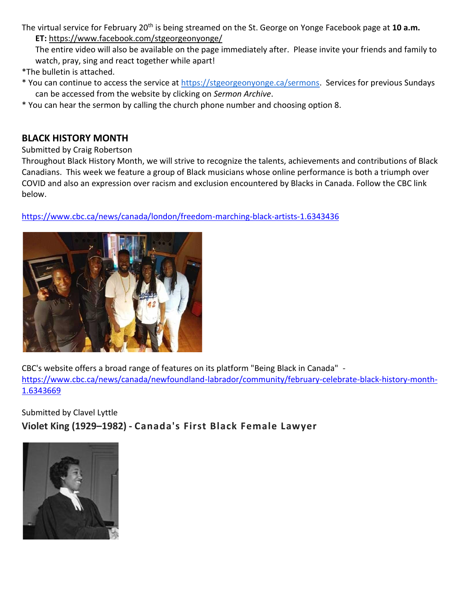The virtual service for February 20<sup>th</sup> is being streamed on the St. George on Yonge Facebook page at 10 a.m. **ET:** <https://www.facebook.com/stgeorgeonyonge/>

The entire video will also be available on the page immediately after. Please invite your friends and family to watch, pray, sing and react together while apart!

\*The bulletin is attached.

- \* You can continue to access the service at [https://stgeorgeonyonge.ca/sermons.](https://stgeorgeonyonge.ca/sermons) Services for previous Sundays can be accessed from the website by clicking on *Sermon Archive*.
- \* You can hear the sermon by calling the church phone number and choosing option 8.

#### **BLACK HISTORY MONTH**

Submitted by Craig Robertson

Throughout Black History Month, we will strive to recognize the talents, achievements and contributions of Black Canadians. This week we feature a group of Black musicians whose online performance is both a triumph over COVID and also an expression over racism and exclusion encountered by Blacks in Canada. Follow the CBC link below.

<https://www.cbc.ca/news/canada/london/freedom-marching-black-artists-1.6343436>



CBC's website offers a broad range of features on its platform "Being Black in Canada" [https://www.cbc.ca/news/canada/newfoundland-labrador/community/february-celebrate-black-history-month-](https://www.cbc.ca/news/canada/newfoundland-labrador/community/february-celebrate-black-history-month-1.6343669)[1.6343669](https://www.cbc.ca/news/canada/newfoundland-labrador/community/february-celebrate-black-history-month-1.6343669)

Submitted by Clavel Lyttle **Violet King (1929–1982) - Canada's First Black Female Lawyer**

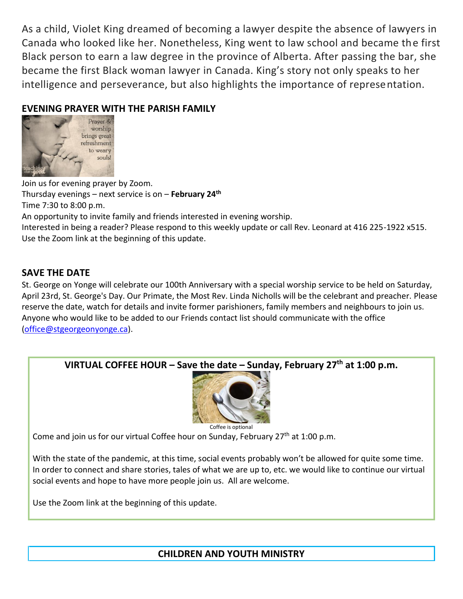As a child, Violet King dreamed of becoming a lawyer despite the absence of lawyers in Canada who looked like her. Nonetheless, King went to law school and became the first Black person to earn a law degree in the province of Alberta. After passing the bar, she became the first Black woman lawyer in Canada. King's story not only speaks to her intelligence and perseverance, but also highlights the importance of representation.

### **EVENING PRAYER WITH THE PARISH FAMILY**



Join us for evening prayer by Zoom. Thursday evenings – next service is on – **February 24th** Time 7:30 to 8:00 p.m. An opportunity to invite family and friends interested in evening worship. Interested in being a reader? Please respond to this weekly update or call Rev. Leonard at 416 225-1922 x515. Use the Zoom link at the beginning of this update.

#### **SAVE THE DATE**

St. George on Yonge will celebrate our 100th Anniversary with a special worship service to be held on Saturday, April 23rd, St. George's Day. Our Primate, the Most Rev. Linda Nicholls will be the celebrant and preacher. Please reserve the date, watch for details and invite former parishioners, family members and neighbours to join us. Anyone who would like to be added to our Friends contact list should communicate with the office [\(office@stgeorgeonyonge.ca\)](mailto:office@stgeorgeonyonge.ca).



Coffee is optional

Come and join us for our virtual Coffee hour on Sunday, February  $27<sup>th</sup>$  at 1:00 p.m.

With the state of the pandemic, at this time, social events probably won't be allowed for quite some time. In order to connect and share stories, tales of what we are up to, etc. we would like to continue our virtual social events and hope to have more people join us. All are welcome.

Use the Zoom link at the beginning of this update.

**CHILDREN AND YOUTH MINISTRY**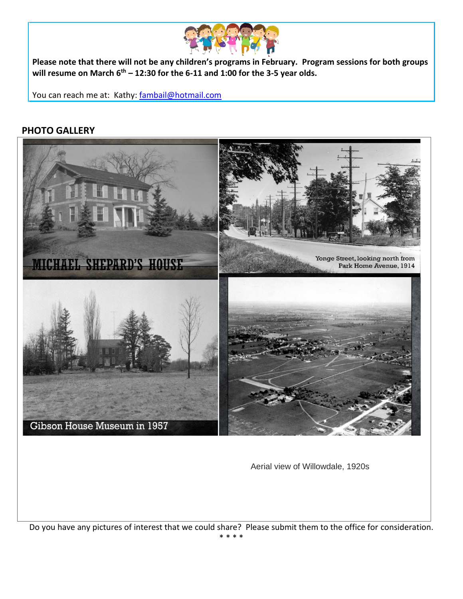

**Please note that there will not be any children's programs in February. Program sessions for both groups will resume on March 6th – 12:30 for the 6-11 and 1:00 for the 3-5 year olds.**

You can reach me at: Kathy: [fambail@hotmail.com](mailto:fambail@hotmail.com)

#### **PHOTO GALLERY**



Aerial view of Willowdale, 1920s

Do you have any pictures of interest that we could share? Please submit them to the office for consideration. \* \* \* \*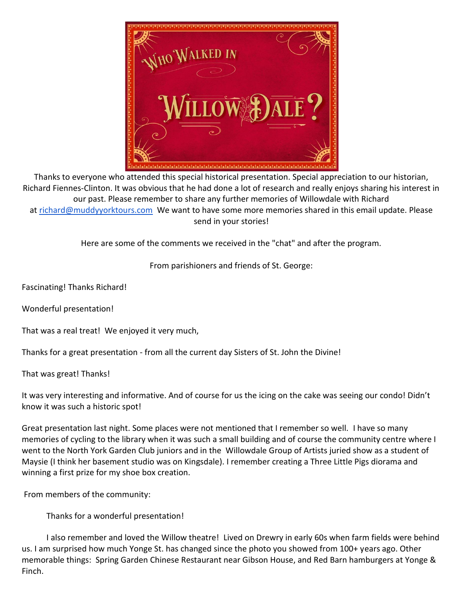

Thanks to everyone who attended this special historical presentation. Special appreciation to our historian, Richard Fiennes-Clinton. It was obvious that he had done a lot of research and really enjoys sharing his interest in our past. Please remember to share any further memories of Willowdale with Richard at [richard@muddyyorktours.com](mailto:richard@muddyyorktours.com) We want to have some more memories shared in this email update. Please send in your stories!

Here are some of the comments we received in the "chat" and after the program.

From parishioners and friends of St. George:

Fascinating! Thanks Richard!

Wonderful presentation!

That was a real treat! We enjoyed it very much,

Thanks for a great presentation - from all the current day Sisters of St. John the Divine!

That was great! Thanks!

It was very interesting and informative. And of course for us the icing on the cake was seeing our condo! Didn't know it was such a historic spot!

Great presentation last night. Some places were not mentioned that I remember so well. I have so many memories of cycling to the library when it was such a small building and of course the community centre where I went to the North York Garden Club juniors and in the Willowdale Group of Artists juried show as a student of Maysie (I think her basement studio was on Kingsdale). I remember creating a Three Little Pigs diorama and winning a first prize for my shoe box creation.

From members of the community:

Thanks for a wonderful presentation!

 I also remember and loved the Willow theatre! Lived on Drewry in early 60s when farm fields were behind us. I am surprised how much Yonge St. has changed since the photo you showed from 100+ years ago. Other memorable things: Spring Garden Chinese Restaurant near Gibson House, and Red Barn hamburgers at Yonge & Finch.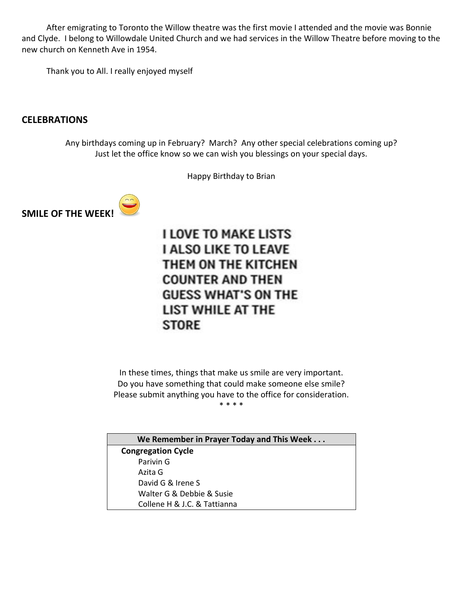After emigrating to Toronto the Willow theatre was the first movie I attended and the movie was Bonnie and Clyde. I belong to Willowdale United Church and we had services in the Willow Theatre before moving to the new church on Kenneth Ave in 1954.

Thank you to All. I really enjoyed myself

#### **CELEBRATIONS**

Any birthdays coming up in February? March? Any other special celebrations coming up? Just let the office know so we can wish you blessings on your special days.

Happy Birthday to Brian



**I LOVE TO MAKE LISTS I ALSO LIKE TO LEAVE** THEM ON THE KITCHEN **COUNTER AND THEN GUESS WHAT'S ON THE** LIST WHILE AT THE **STORE** 

In these times, things that make us smile are very important. Do you have something that could make someone else smile? Please submit anything you have to the office for consideration.

\* \* \* \*

**We Remember in Prayer Today and This Week . . . Congregation Cycle** Parivin G Azita G David G & Irene S Walter G & Debbie & Susie Collene H & J.C. & Tattianna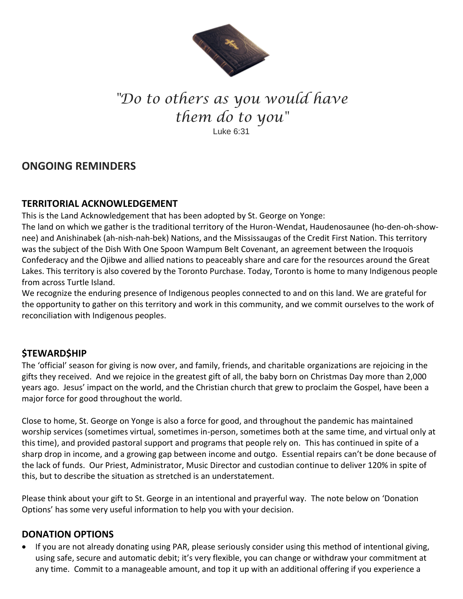

# *"Do to others as you would have them do to you"* Luke 6:31

## **ONGOING REMINDERS**

#### **TERRITORIAL ACKNOWLEDGEMENT**

This is the Land Acknowledgement that has been adopted by St. George on Yonge:

The land on which we gather is the traditional territory of the Huron-Wendat, Haudenosaunee (ho-den-oh-shownee) and Anishinabek (ah-nish-nah-bek) Nations, and the Mississaugas of the Credit First Nation. This territory was the subject of the Dish With One Spoon Wampum Belt Covenant, an agreement between the Iroquois Confederacy and the Ojibwe and allied nations to peaceably share and care for the resources around the Great Lakes. This territory is also covered by the Toronto Purchase. Today, Toronto is home to many Indigenous people from across Turtle Island.

We recognize the enduring presence of Indigenous peoples connected to and on this land. We are grateful for the opportunity to gather on this territory and work in this community, and we commit ourselves to the work of reconciliation with Indigenous peoples.

### **\$TEWARD\$HIP**

The 'official' season for giving is now over, and family, friends, and charitable organizations are rejoicing in the gifts they received. And we rejoice in the greatest gift of all, the baby born on Christmas Day more than 2,000 years ago. Jesus' impact on the world, and the Christian church that grew to proclaim the Gospel, have been a major force for good throughout the world.

Close to home, St. George on Yonge is also a force for good, and throughout the pandemic has maintained worship services (sometimes virtual, sometimes in-person, sometimes both at the same time, and virtual only at this time), and provided pastoral support and programs that people rely on. This has continued in spite of a sharp drop in income, and a growing gap between income and outgo. Essential repairs can't be done because of the lack of funds. Our Priest, Administrator, Music Director and custodian continue to deliver 120% in spite of this, but to describe the situation as stretched is an understatement.

Please think about your gift to St. George in an intentional and prayerful way. The note below on 'Donation Options' has some very useful information to help you with your decision.

### **DONATION OPTIONS**

• If you are not already donating using PAR, please seriously consider using this method of intentional giving, using safe, secure and automatic debit; it's very flexible, you can change or withdraw your commitment at any time. Commit to a manageable amount, and top it up with an additional offering if you experience a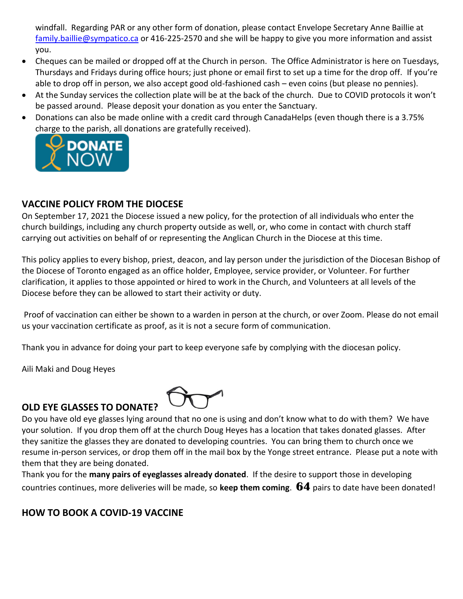windfall. Regarding PAR or any other form of donation, please contact Envelope Secretary Anne Baillie at [family.baillie@sympatico.ca](mailto:family.baillie@sympatico.ca) or 416-225-2570 and she will be happy to give you more information and assist you.

- Cheques can be mailed or dropped off at the Church in person. The Office Administrator is here on Tuesdays, Thursdays and Fridays during office hours; just phone or email first to set up a time for the drop off. If you're able to drop off in person, we also accept good old-fashioned cash – even coins (but please no pennies).
- At the Sunday services the collection plate will be at the back of the church. Due to COVID protocols it won't be passed around. Please deposit your donation as you enter the Sanctuary.
- Donations can also be made online with a credit card through CanadaHelps (even though there is a 3.75% [charge to the parish, all do](https://www.canadahelps.org/CharityProfilePage.aspx?CharityID=d28998)nations are gratefully received).



### **VACCINE POLICY FROM THE DIOCESE**

On September 17, 2021 the Diocese issued a new policy, for the protection of all individuals who enter the church buildings, including any church property outside as well, or, who come in contact with church staff carrying out activities on behalf of or representing the Anglican Church in the Diocese at this time.

This policy applies to every bishop, priest, deacon, and lay person under the jurisdiction of the Diocesan Bishop of the Diocese of Toronto engaged as an office holder, Employee, service provider, or Volunteer. For further clarification, it applies to those appointed or hired to work in the Church, and Volunteers at all levels of the Diocese before they can be allowed to start their activity or duty.

Proof of vaccination can either be shown to a warden in person at the church, or over Zoom. Please do not email us your vaccination certificate as proof, as it is not a secure form of communication.

Thank you in advance for doing your part to keep everyone safe by complying with the diocesan policy.

Aili Maki and Doug Heyes

### **OLD EYE GLASSES TO DONATE?**



Do you have old eye glasses lying around that no one is using and don't know what to do with them? We have your solution. If you drop them off at the church Doug Heyes has a location that takes donated glasses. After they sanitize the glasses they are donated to developing countries. You can bring them to church once we resume in-person services, or drop them off in the mail box by the Yonge street entrance. Please put a note with them that they are being donated.

Thank you for the **many pairs of eyeglasses already donated**. If the desire to support those in developing countries continues, more deliveries will be made, so **keep them coming**. **64** pairs to date have been donated!

### **HOW TO BOOK A COVID-19 VACCINE**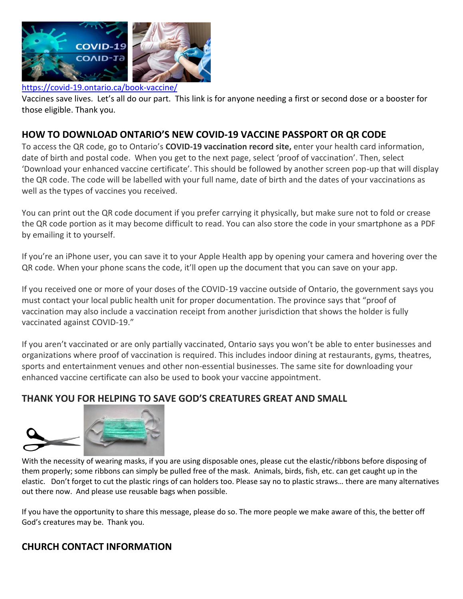

#### <https://covid-19.ontario.ca/book-vaccine/>

Vaccines save lives. Let's all do our part. This link is for anyone needing a first or second dose or a booster for those eligible. Thank you.

#### **HOW TO DOWNLOAD ONTARIO'S NEW COVID-19 VACCINE PASSPORT OR QR CODE**

To access the QR code, go to Ontario's **[COVID-19 vaccination record site,](https://covid19.ontariohealth.ca/app-identity?viewId=JKH22JRXBHCT)** enter your health card information, date of birth and postal code. When you get to the next page, select 'proof of vaccination'. Then, select 'Download your enhanced vaccine certificate'. This should be followed by another screen pop-up that will display the QR code. The code will be labelled with your full name, date of birth and the dates of your vaccinations as well as the types of vaccines you received.

You can print out the QR code document if you prefer carrying it physically, but make sure not to fold or crease the QR code portion as it may become difficult to read. You can also store the code in your smartphone as a PDF by emailing it to yourself.

If you're an iPhone user, you can save it to your Apple Health app by opening your camera and hovering over the QR code. When your phone scans the code, it'll open up the document that you can save on your app.

If you received one or more of your doses of the COVID-19 vaccine outside of Ontario, the government says you must contact [your local public health unit](https://www.phdapps.health.gov.on.ca/phulocator/) for proper documentation. The province says that "[proof of](https://covid-19.ontario.ca/proof-covid-19-vaccination)  [vaccination](https://covid-19.ontario.ca/proof-covid-19-vaccination) may also include a vaccination receipt from another jurisdiction that shows the holder is fully vaccinated against COVID-19."

If you aren't vaccinated or are only partially vaccinated, Ontario says you won't be able to enter businesses and organizations where proof of vaccination is required. This includes indoor dining at restaurants, gyms, theatres, sports and entertainment venues and other non-essential businesses. The same site for downloading your enhanced vaccine certificate can also be used to [book your vaccine appointment.](https://covid-19.ontario.ca/book-vaccine/)

### **THANK YOU FOR HELPING TO SAVE GOD'S CREATURES GREAT AND SMALL**



With the necessity of wearing masks, if you are using disposable ones, please cut the elastic/ribbons before disposing of them properly; some ribbons can simply be pulled free of the mask. Animals, birds, fish, etc. can get caught up in the elastic. Don't forget to cut the plastic rings of can holders too. Please say no to plastic straws… there are many alternatives out there now. And please use reusable bags when possible.

If you have the opportunity to share this message, please do so. The more people we make aware of this, the better off God's creatures may be. Thank you.

#### **CHURCH CONTACT INFORMATION**